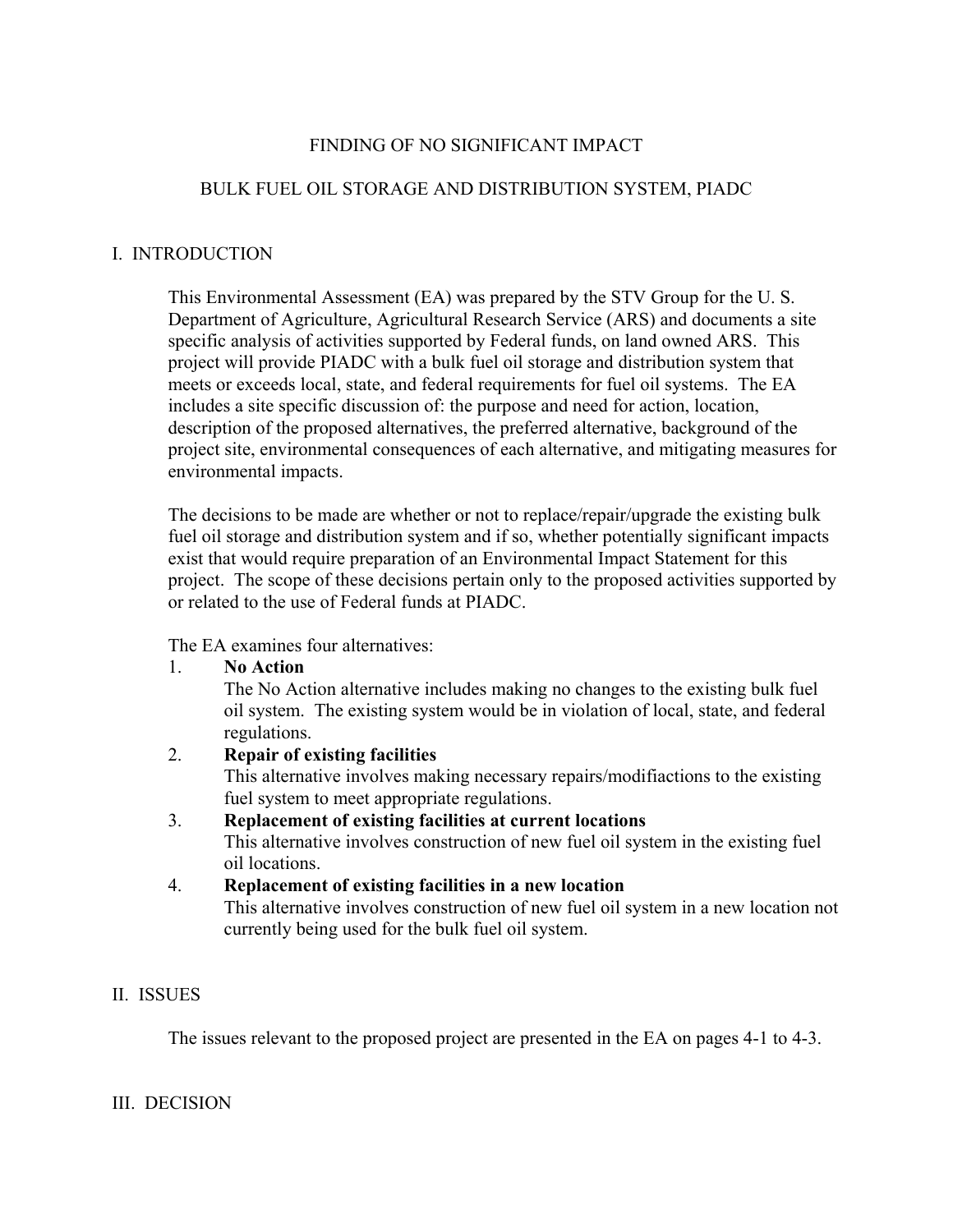# FINDING OF NO SIGNIFICANT IMPACT

# BULK FUEL OIL STORAGE AND DISTRIBUTION SYSTEM, PIADC

## I. INTRODUCTION

This Environmental Assessment (EA) was prepared by the STV Group for the U. S. Department of Agriculture, Agricultural Research Service (ARS) and documents a site specific analysis of activities supported by Federal funds, on land owned ARS. This project will provide PIADC with a bulk fuel oil storage and distribution system that meets or exceeds local, state, and federal requirements for fuel oil systems. The EA includes a site specific discussion of: the purpose and need for action, location, description of the proposed alternatives, the preferred alternative, background of the project site, environmental consequences of each alternative, and mitigating measures for environmental impacts.

The decisions to be made are whether or not to replace/repair/upgrade the existing bulk fuel oil storage and distribution system and if so, whether potentially significant impacts exist that would require preparation of an Environmental Impact Statement for this project. The scope of these decisions pertain only to the proposed activities supported by or related to the use of Federal funds at PIADC.

The EA examines four alternatives:

#### 1. **No Action**

The No Action alternative includes making no changes to the existing bulk fuel oil system. The existing system would be in violation of local, state, and federal regulations.

## 2. **Repair of existing facilities**

This alternative involves making necessary repairs/modifiactions to the existing fuel system to meet appropriate regulations.

# 3. **Replacement of existing facilities at current locations**

This alternative involves construction of new fuel oil system in the existing fuel oil locations.

#### 4. **Replacement of existing facilities in a new location**  This alternative involves construction of new fuel oil system in a new location not currently being used for the bulk fuel oil system.

## II. ISSUES

The issues relevant to the proposed project are presented in the EA on pages 4-1 to 4-3.

## III. DECISION